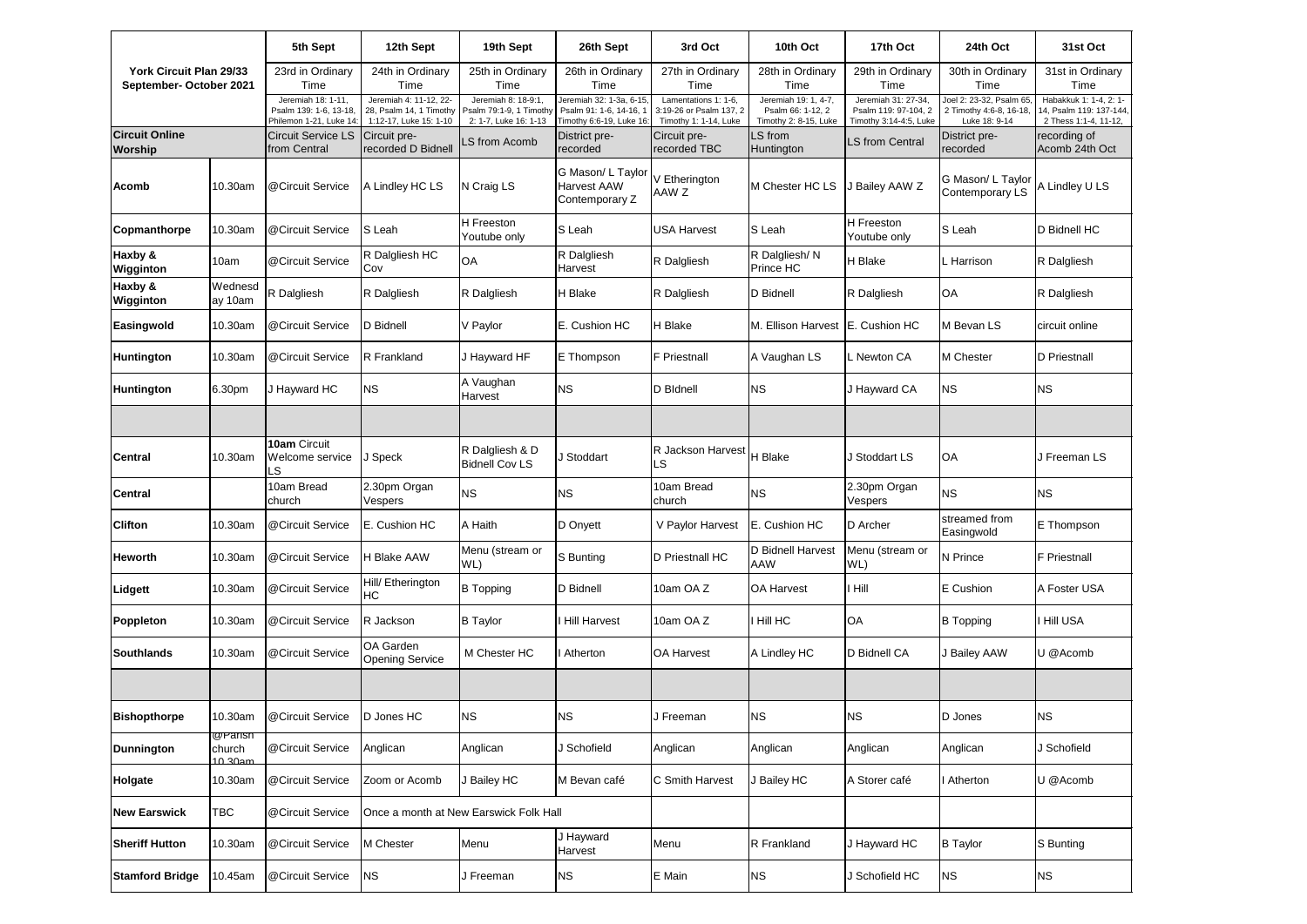| York Circuit Plan 29/33<br>September- October 2021 |                                     | 5th Sept                                                                | 12th Sept                                                                   | 19th Sept                                                               | 26th Sept                                                                      | 3rd Oct                                                                  | 10th Oct                                                           | 17th Oct                                                              | 24th Oct                                                            | 31st Oct                                                                   |
|----------------------------------------------------|-------------------------------------|-------------------------------------------------------------------------|-----------------------------------------------------------------------------|-------------------------------------------------------------------------|--------------------------------------------------------------------------------|--------------------------------------------------------------------------|--------------------------------------------------------------------|-----------------------------------------------------------------------|---------------------------------------------------------------------|----------------------------------------------------------------------------|
|                                                    |                                     | 23rd in Ordinary<br>Time                                                | 24th in Ordinary<br>Time                                                    | 25th in Ordinary<br>Time                                                | 26th in Ordinary<br>Time                                                       | 27th in Ordinary<br>Time                                                 | 28th in Ordinary<br>Time                                           | 29th in Ordinary<br>Time                                              | 30th in Ordinary<br>Time                                            | 31st in Ordinary<br>Time                                                   |
|                                                    |                                     | Jeremiah 18: 1-11,<br>Psalm 139: 1-6, 13-18,<br>Philemon 1-21, Luke 14: | Jeremiah 4: 11-12, 22-<br>28, Psalm 14, 1 Timothy<br>1:12-17, Luke 15: 1-10 | Jeremiah 8: 18-9:1,<br>Psalm 79:1-9, 1 Timothy<br>2: 1-7, Luke 16: 1-13 | Jeremiah 32: 1-3a, 6-15<br>Psalm 91: 1-6, 14-16, 1<br>Timothy 6:6-19, Luke 16: | Lamentations 1: 1-6,<br>3:19-26 or Psalm 137, 2<br>Timothy 1: 1-14, Luke | Jeremiah 19: 1, 4-7,<br>Psalm 66: 1-12, 2<br>Timothy 2: 8-15, Luke | Jeremiah 31: 27-34,<br>Psalm 119: 97-104, 2<br>Timothy 3:14-4:5, Luke | Joel 2: 23-32, Psalm 65<br>2 Timothy 4:6-8, 16-18,<br>Luke 18: 9-14 | Habakkuk 1: 1-4, 2: 1-<br>14, Psalm 119: 137-144,<br>2 Thess 1:1-4, 11-12, |
| <b>Circuit Online</b><br><b>Worship</b>            |                                     | <b>Circuit Service LS</b><br>from Central                               | Circuit pre-<br>recorded D Bidnell                                          | LS from Acomb                                                           | District pre-<br>recorded                                                      | Circuit pre-<br>recorded TBC                                             | LS from<br>Huntington                                              | LS from Central                                                       | District pre-<br>recorded                                           | recording of<br>Acomb 24th Oct                                             |
| <b>Acomb</b>                                       | 10.30am                             | @Circuit Service                                                        | A Lindley HC LS                                                             | N Craig LS                                                              | G Mason/ L Taylor<br><b>Harvest AAW</b><br>Contemporary Z                      | V Etherington<br>AAW Z                                                   | M Chester HC LS                                                    | J Bailey AAW Z                                                        | G Mason/L Taylor<br>Contemporary LS                                 | A Lindley U LS                                                             |
| <b>Copmanthorpe</b>                                | 10.30am                             | @Circuit Service                                                        | S Leah                                                                      | H Freeston<br>Youtube only                                              | <b>S</b> Leah                                                                  | <b>USA Harvest</b>                                                       | S Leah                                                             | H Freeston<br>Youtube only                                            | <b>S</b> Leah                                                       | D Bidnell HC                                                               |
| Haxby &<br>Wigginton                               | 10am                                | @Circuit Service                                                        | R Dalgliesh HC<br>Cov                                                       | OA                                                                      | R Dalgliesh<br>Harvest                                                         | R Dalgliesh                                                              | R Dalgliesh/N<br><b>Prince HC</b>                                  | H Blake                                                               | L Harrison                                                          | R Dalgliesh                                                                |
| Haxby &<br>Wigginton                               | Wednesd<br>ay 10am                  | R Dalgliesh                                                             | R Dalgliesh                                                                 | R Dalgliesh                                                             | H Blake                                                                        | R Dalgliesh                                                              | <b>D</b> Bidnell                                                   | R Dalgliesh                                                           | OA                                                                  | R Dalgliesh                                                                |
| Easingwold                                         | 10.30am                             | @Circuit Service                                                        | D Bidnell                                                                   | V Paylor                                                                | E. Cushion HC                                                                  | H Blake                                                                  | M. Ellison Harvest                                                 | E. Cushion HC                                                         | M Bevan LS                                                          | circuit online                                                             |
| <b>Huntington</b>                                  | 10.30am                             | @Circuit Service                                                        | R Frankland                                                                 | J Hayward HF                                                            | <b>E</b> Thompson                                                              | <b>F</b> Priestnall                                                      | A Vaughan LS                                                       | . Newton CA                                                           | M Chester                                                           | D Priestnall                                                               |
| Huntington                                         | 6.30pm                              | J Hayward HC                                                            | <b>NS</b>                                                                   | A Vaughan<br>Harvest                                                    | <b>NS</b>                                                                      | D Bldnell                                                                | <b>NS</b>                                                          | J Hayward CA                                                          | <b>NS</b>                                                           | <b>NS</b>                                                                  |
|                                                    |                                     |                                                                         |                                                                             |                                                                         |                                                                                |                                                                          |                                                                    |                                                                       |                                                                     |                                                                            |
| <b>Central</b>                                     | 10.30am                             | 10am Circuit<br>Welcome service<br>LS                                   | J Speck                                                                     | R Dalgliesh & D<br><b>Bidnell Cov LS</b>                                | J Stoddart                                                                     | R Jackson Harvest   H Blake<br>LS                                        |                                                                    | J Stoddart LS                                                         | OA                                                                  | J Freeman LS                                                               |
| <b>Central</b>                                     |                                     | 10am Bread<br>church                                                    | 2.30pm Organ<br>Vespers                                                     | <b>NS</b>                                                               | <b>NS</b>                                                                      | 10am Bread<br>church                                                     | <b>NS</b>                                                          | 2.30pm Organ<br>Vespers                                               | <b>NS</b>                                                           | <b>NS</b>                                                                  |
| <b>Clifton</b>                                     | 10.30am                             | @Circuit Service                                                        | E. Cushion HC                                                               | A Haith                                                                 | D Onyett                                                                       | V Paylor Harvest                                                         | E. Cushion HC                                                      | D Archer                                                              | streamed from<br>Easingwold                                         | E Thompson                                                                 |
| <b>Heworth</b>                                     | 10.30am                             | @Circuit Service                                                        | <b>H Blake AAW</b>                                                          | Menu (stream or<br>WL)                                                  | S Bunting                                                                      | D Priestnall HC                                                          | D Bidnell Harvest<br><b>AAW</b>                                    | Menu (stream or<br>WL)                                                | N Prince                                                            | <b>F</b> Priestnall                                                        |
| Lidgett                                            | 10.30am                             | @Circuit Service                                                        | Hill/ Etherington<br>НC                                                     | <b>B</b> Topping                                                        | D Bidnell                                                                      | 10am OA Z                                                                | <b>OA Harvest</b>                                                  | l Hill                                                                | E Cushion                                                           | A Foster USA                                                               |
| Poppleton                                          | 10.30am                             | @Circuit Service                                                        | R Jackson                                                                   | <b>B</b> Taylor                                                         | <b>Hill Harvest</b>                                                            | 10am OA Z                                                                | I Hill HC                                                          | OA                                                                    | <b>B</b> Topping                                                    | I Hill USA                                                                 |
| <b>Southlands</b>                                  | 10.30am                             | @Circuit Service                                                        | OA Garden<br><b>Opening Service</b>                                         | M Chester HC                                                            | Atherton                                                                       | <b>OA Harvest</b>                                                        | A Lindley HC                                                       | D Bidnell CA                                                          | J Bailey AAW                                                        | U @Acomb                                                                   |
|                                                    |                                     |                                                                         |                                                                             |                                                                         |                                                                                |                                                                          |                                                                    |                                                                       |                                                                     |                                                                            |
| <b>Bishopthorpe</b>                                | 10.30am                             | @Circuit Service                                                        | D Jones HC                                                                  | <b>NS</b>                                                               | <b>NS</b>                                                                      | J Freeman                                                                | <b>NS</b>                                                          | ΝS                                                                    | D Jones                                                             | <b>NS</b>                                                                  |
| <b>Dunnington</b>                                  | <b>@Parish</b><br>church<br>10.30am | @Circuit Service                                                        | Anglican                                                                    | Anglican                                                                | J Schofield                                                                    | Anglican                                                                 | Anglican                                                           | Anglican                                                              | Anglican                                                            | J Schofield                                                                |
| Holgate                                            | 10.30am                             | @Circuit Service                                                        | Zoom or Acomb                                                               | J Bailey HC                                                             | M Bevan café                                                                   | C Smith Harvest                                                          | J Bailey HC                                                        | A Storer café                                                         | I Atherton                                                          | U @Acomb                                                                   |
| <b>New Earswick</b>                                | TBC                                 | @Circuit Service                                                        | Once a month at New Earswick Folk Hall                                      |                                                                         |                                                                                |                                                                          |                                                                    |                                                                       |                                                                     |                                                                            |
| <b>Sheriff Hutton</b>                              | 10.30am                             | @Circuit Service                                                        | M Chester                                                                   | Menu                                                                    | J Hayward<br>Harvest                                                           | Menu                                                                     | R Frankland                                                        | J Hayward HC                                                          | <b>B</b> Taylor                                                     | S Bunting                                                                  |
| <b>Stamford Bridge</b>                             | 10.45am                             | @Circuit Service                                                        | ΝS                                                                          | J Freeman                                                               | <b>NS</b>                                                                      | E Main                                                                   | <b>NS</b>                                                          | J Schofield HC                                                        | <b>NS</b>                                                           | <b>NS</b>                                                                  |